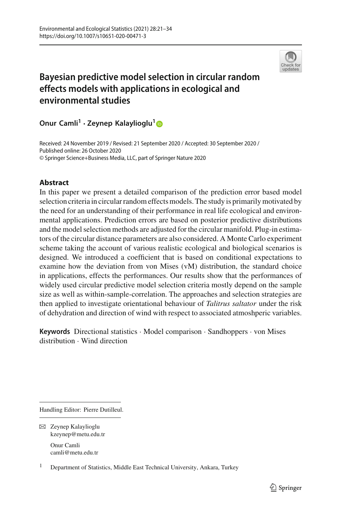

# **Bayesian predictive model selection in circular random effects models with applications in ecological and environmental studies**

**Onur Camli1 · Zeynep Kalaylioglu[1](http://orcid.org/0000-0002-2216-188X)**

Received: 24 November 2019 / Revised: 21 September 2020 / Accepted: 30 September 2020 / Published online: 26 October 2020 © Springer Science+Business Media, LLC, part of Springer Nature 2020

# **Abstract**

In this paper we present a detailed comparison of the prediction error based model selection criteria in circular random effects models. The study is primarily motivated by the need for an understanding of their performance in real life ecological and environmental applications. Prediction errors are based on posterior predictive distributions and the model selection methods are adjusted for the circular manifold. Plug-in estimators of the circular distance parameters are also considered. A Monte Carlo experiment scheme taking the account of various realistic ecological and biological scenarios is designed. We introduced a coefficient that is based on conditional expectations to examine how the deviation from von Mises (vM) distribution, the standard choice in applications, effects the performances. Our results show that the performances of widely used circular predictive model selection criteria mostly depend on the sample size as well as within-sample-correlation. The approaches and selection strategies are then applied to investigate orientational behaviour of *Talitrus saltator* under the risk of dehydration and direction of wind with respect to associated atmoshperic variables.

**Keywords** Directional statistics · Model comparison · Sandhoppers · von Mises distribution · Wind direction

Handling Editor: Pierre Dutilleul.

camli@metu.edu.tr

 $\boxtimes$  Zeynep Kalaylioglu kzeynep@metu.edu.tr Onur Camli

<sup>&</sup>lt;sup>1</sup> Department of Statistics, Middle East Technical University, Ankara, Turkey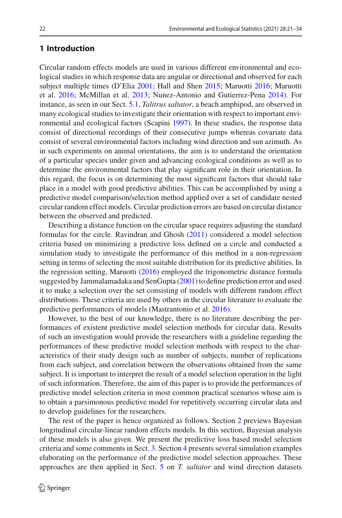# **1 Introduction**

Circular random effects models are used in various different environmental and ecological studies in which response data are angular or directional and observed for each subject multiple times (D'Eli[a](#page-13-0) [2001](#page-13-0); Hall and She[n](#page-13-1) [2015](#page-13-1); Maruott[i](#page-13-2) [2016](#page-13-2); Maruotti et al[.](#page-13-3) [2016](#page-13-3); McMillan et al[.](#page-13-4) [2013;](#page-13-4) Nunez-Antonio and Gutierrez-Pen[a](#page-13-5) [2014\)](#page-13-5). For instance, as seen in our Sect. [5.1,](#page-7-0) *Talitrus saltator*, a beach amphipod, are observed in many ecological studies to investigate their orientation with respect to important environmental and ecological factors (Scapin[i](#page-13-6) [1997\)](#page-13-6). In these studies, the response data consist of directional recordings of their consecutive jumps whereas covariate data consist of several environmental factors including wind direction and sun azimuth. As in such experiments on animal orientations, the aim is to understand the orientation of a particular species under given and advancing ecological conditions as well as to determine the environmental factors that play significant role in their orientation. In this regard, the focus is on determining the most significant factors that should take place in a model with good predictive abilities. This can be accomplished by using a predictive model comparison/selection method applied over a set of candidate nested circular random effect models. Circular prediction errors are based on circular distance between the observed and predicted.

Describing a distance function on the circular space requires adjusting the standard formulas for the circle. Ravindran and Ghos[h](#page-13-7) [\(2011](#page-13-7)) considered a model selection criteria based on minimizing a predictive loss defined on a circle and conducted a simulation study to investigate the performance of this method in a non-regression setting in terms of selecting the most suitable distribution for its predictive abilities. In the regression setting, Maruott[i](#page-13-2) [\(2016\)](#page-13-2) employed the trigonometric distance formula suggested by Jammalamadaka and SenGupt[a](#page-13-8) [\(2001\)](#page-13-8) to define prediction error and used it to make a selection over the set consisting of models with different random effect distributions. These criteria are used by others in the circular literature to evaluate the predictive performances of models (Mastrantonio et al[.](#page-13-9) [2016](#page-13-9)).

However, to the best of our knowledge, there is no literature describing the performances of existent predictive model selection methods for circular data. Results of such an investigation would provide the researchers with a guideline regarding the performances of these predictive model selection methods with respect to the characteristics of their study design such as number of subjects, number of replications from each subject, and correlation between the observations obtained from the same subject. It is important to interpret the result of a model selection operation in the light of such information. Therefore, the aim of this paper is to provide the performances of predictive model selection criteria in most common practical scenarios whose aim is to obtain a parsimonous predictive model for repetitively occurring circular data and to develop guidelines for the researchers.

The rest of the paper is hence organized as follows. Section [2](#page-2-0) previews Bayesian longitudinal circular-linear random effects models. In this section, Bayesian analysis of these models is also given. We present the predictive loss based model selection criteria and some comments in Sect. [3.](#page-4-0) Section [4](#page-5-0) presents several simulation examples elaborating on the performance of the predictive model selection approaches. These approaches are then applied in Sect. [5](#page-6-0) on *T. saltator* and wind direction datasets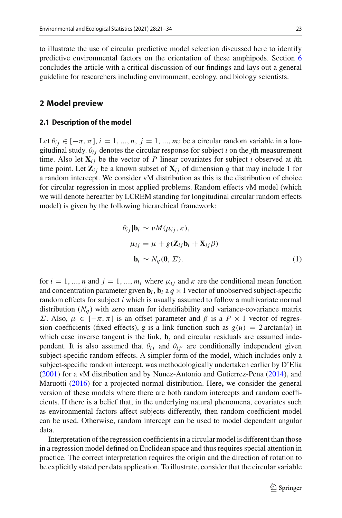to illustrate the use of circular predictive model selection discussed here to identify predictive environmental factors on the orientation of these amphipods. Section [6](#page-11-0) concludes the article with a critical discussion of our findings and lays out a general guideline for researchers including environment, ecology, and biology scientists.

## <span id="page-2-0"></span>**2 Model preview**

## **2.1 Description of the model**

Let  $\theta_{ij} \in [-\pi, \pi]$ ,  $i = 1, ..., n$ ,  $j = 1, ..., m_i$  be a circular random variable in a longitudinal study.  $\theta_{ij}$  denotes the circular response for subject *i* on the *j*th measurement time. Also let  $X_{ij}$  be the vector of *P* linear covariates for subject *i* observed at *j*th time point. Let  $\mathbf{Z}_{ij}$  be a known subset of  $\mathbf{X}_{ij}$  of dimension q that may include 1 for a random intercept. We consider vM distribution as this is the distribution of choice for circular regression in most applied problems. Random effects vM model (which we will denote hereafter by LCREM standing for longitudinal circular random effects model) is given by the following hierarchical framework:

$$
\theta_{ij} | \mathbf{b}_i \sim v M(\mu_{ij}, \kappa),
$$
  
\n
$$
\mu_{ij} = \mu + g(\mathbf{Z}_{ij} \mathbf{b}_i + \mathbf{X}_{ij} \beta)
$$
  
\n
$$
\mathbf{b}_i \sim N_q(\mathbf{0}, \Sigma).
$$
 (1)

for  $i = 1, ..., n$  and  $j = 1, ..., m_i$  where  $\mu_{ij}$  and  $\kappa$  are the conditional mean function and concentration parameter given  $\mathbf{b}_i$ ,  $\mathbf{b}_i$  a  $q \times 1$  vector of unobserved subject-specific random effects for subject *i* which is usually assumed to follow a multivariate normal distribution  $(N_q)$  with zero mean for identifiability and variance-covariance matrix Σ. Also,  $\mu$  ∈ [ $-\pi$ ,  $\pi$ ] is an offset parameter and *β* is a *P* × 1 vector of regression coefficients (fixed effects), g is a link function such as  $g(u) = 2 \arctan(u)$  in which case inverse tangent is the link,  $\mathbf{b}_i$  and circular residuals are assumed independent. It is also assumed that  $\theta_{ij}$  and  $\theta_{ij'}$  are conditionally independent given subject-specific random effects. A simpler form of the model, which includes only a subject-specific random intercept, was methodologically undertaken earlier by D'Eli[a](#page-13-0) [\(2001\)](#page-13-0) for a vM distribution and by Nunez-Antonio and Gutierrez-Pen[a](#page-13-5) [\(2014](#page-13-5)), and Maruott[i](#page-13-2) [\(2016](#page-13-2)) for a projected normal distribution. Here**,** we consider the general version of these models where there are both random intercepts and random coefficients. If there is a belief that, in the underlying natural phenomena, covariates such as environmental factors affect subjects differently, then random coefficient model can be used. Otherwise, random intercept can be used to model dependent angular data.

Interpretation of the regression coefficients in a circular model is different than those in a regression model defined on Euclidean space and thus requires special attention in practice. The correct interpretation requires the origin and the direction of rotation to be explicitly stated per data application. To illustrate, consider that the circular variable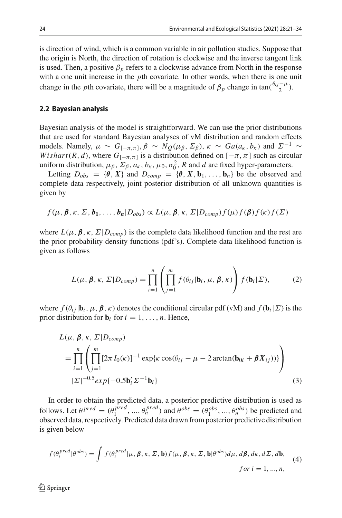is direction of wind, which is a common variable in air pollution studies. Suppose that the origin is North, the direction of rotation is clockwise and the inverse tangent link is used. Then, a positive  $\beta_p$  refers to a clockwise advance from North in the response with a one unit increase in the *p*th covariate. In other words, when there is one unit change in the *p*th covariate, there will be a magnitude of  $\beta_p$  change in tan( $\frac{\theta_{ij} - \mu}{2}$ ).

#### <span id="page-3-0"></span>**2.2 Bayesian analysis**

Bayesian analysis of the model is straightforward. We can use the prior distributions that are used for standard Bayesian analyses of vM distribution and random effects models. Namely,  $\mu \sim G_{[-\pi,\pi]}, \beta \sim N_Q(\mu_\beta, \Sigma_\beta)$ ,  $\kappa \sim Ga(a_\kappa, b_\kappa)$  and  $\Sigma^{-1} \sim$ *Wishart*(*R*, *d*), where  $G_{[-\pi,\pi]}$  is a distribution defined on  $[-\pi,\pi]$  such as circular uniform distribution,  $\mu_{\beta}$ ,  $\Sigma_{\beta}$ ,  $a_{\kappa}$ ,  $b_{\kappa}$ ,  $\mu_0$ ,  $\sigma_0^2$ , R and d are fixed hyper-parameters.

Letting  $D_{obs} = \{\theta, X\}$  and  $D_{comp} = \{\theta, X, \mathbf{b}_1, \dots, \mathbf{b}_n\}$  be the observed and complete data respectively, joint posterior distribution of all unknown quantities is given by

$$
f(\mu, \beta, \kappa, \Sigma, b_1, \ldots, b_n | D_{obs}) \propto L(\mu, \beta, \kappa, \Sigma | D_{comp}) f(\mu) f(\beta) f(\kappa) f(\Sigma)
$$

where  $L(\mu, \beta, \kappa, \Sigma | D_{comp})$  is the complete data likelihood function and the rest are the prior probability density functions (pdf's). Complete data likelihood function is given as follows

$$
L(\mu, \beta, \kappa, \Sigma | D_{comp}) = \prod_{i=1}^{n} \left( \prod_{j=1}^{m} f(\theta_{ij} | \mathbf{b}_{i}, \mu, \beta, \kappa) \right) f(\mathbf{b}_{i} | \Sigma), \tag{2}
$$

where  $f(\theta_i|\mathbf{b}_i, \mu, \beta, \kappa)$  denotes the conditional circular pdf (vM) and  $f(\mathbf{b}_i|\Sigma)$  is the prior distribution for  $\mathbf{b}_i$  for  $i = 1, \ldots, n$ . Hence,

$$
L(\mu, \beta, \kappa, \Sigma | D_{comp})
$$
  
= 
$$
\prod_{i=1}^{n} \left( \prod_{j=1}^{m} [2\pi I_0(\kappa)]^{-1} \exp{\kappa \cos(\theta_{ij} - \mu - 2 \arctan(\mathbf{b}_{0i} + \beta X_{ij}))} \right)
$$
  

$$
|\Sigma|^{-0.5} exp{-0.5\mathbf{b}'_i \Sigma^{-1}\mathbf{b}_i}
$$
 (3)

In order to obtain the predicted data, a posterior predictive distribution is used as follows. Let  $\theta^{pred} = (\theta_1^{pred}, ..., \theta_n^{pred})$  and  $\theta^{obs} = (\theta_1^{obs}, ..., \theta_n^{obs})$  be predicted and observed data, respectively. Predicted data drawn from posterior predictive distribution is given below

$$
f(\theta_i^{pred}|\theta^{obs}) = \int f(\theta_i^{pred}|\mu, \beta, \kappa, \Sigma, \mathbf{b}) f(\mu, \beta, \kappa, \Sigma, \mathbf{b} | \theta^{obs}) d\mu, d\beta, d\kappa, d\Sigma, d\mathbf{b},
$$
  
\nfor  $i = 1, ..., n$ , (4)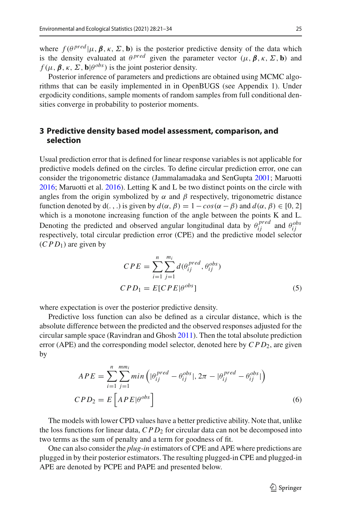where  $f(\theta^{pred} | \mu, \beta, \kappa, \Sigma, \mathbf{b})$  is the posterior predictive density of the data which is the density evaluated at  $\theta^{pred}$  given the parameter vector  $(\mu, \beta, \kappa, \Sigma, \mathbf{b})$  and  $f(\mu, \beta, \kappa, \Sigma, \mathbf{b} | \theta^{obs})$  is the joint posterior density.

Posterior inference of parameters and predictions are obtained using MCMC algorithms that can be easily implemented in in OpenBUGS (see Appendix 1). Under ergodicity conditions, sample moments of random samples from full conditional densities converge in probability to posterior moments.

# <span id="page-4-0"></span>**3 Predictive density based model assessment, comparison, and selection**

Usual prediction error that is defined for linear response variables is not applicable for predictive models defined on the circles. To define circular prediction error, one can consider the trigonometric distance (Jammalamadaka and SenGupt[a](#page-13-8) [2001](#page-13-8); Maruott[i](#page-13-2) [2016;](#page-13-2) Maruotti et al[.](#page-13-3) [2016](#page-13-3)). Letting K and L be two distinct points on the circle with angles from the origin symbolized by  $\alpha$  and  $\beta$  respectively, trigonometric distance function denoted by d(., .) is given by  $d(\alpha, \beta) = 1 - \cos(\alpha - \beta)$  and  $d(\alpha, \beta) \in [0, 2]$ which is a monotone increasing function of the angle between the points K and L. Denoting the predicted and observed angular longitudinal data by  $\theta_{ij}^{pred}$  and  $\theta_{ij}^{obs}$ respectively, total circular prediction error (CPE) and the predictive model selector  $(CPD_1)$  are given by

$$
CPE = \sum_{i=1}^{n} \sum_{j=1}^{m_i} d(\theta_{ij}^{pred}, \theta_{ij}^{obs})
$$
  
\n
$$
CPD_1 = E[CPE|\theta^{obs}]
$$
\n(5)

where expectation is over the posterior predictive density.

Predictive loss function can also be defined as a circular distance, which is the absolute difference between the predicted and the observed responses adjusted for the circular sample space (Ravindran and Ghos[h](#page-13-7) [2011](#page-13-7)). Then the total absolute prediction error (APE) and the corresponding model selector, denoted here by *CPD*<sub>2</sub>, are given by

$$
APE = \sum_{i=1}^{n} \sum_{j=1}^{mm_i} min\left(|\theta_{ij}^{pred} - \theta_{ij}^{obs}|, 2\pi - |\theta_{ij}^{pred} - \theta_{ij}^{obs}|\right)
$$
  
\n
$$
CPD_2 = E\left[APE|\theta^{obs}\right]
$$
\n(6)

The models with lower CPD values have a better predictive ability. Note that, unlike the loss functions for linear data, *CPD*<sup>2</sup> for circular data can not be decomposed into two terms as the sum of penalty and a term for goodness of fit.

One can also consider the *plug-in* estimators of CPE and APE where predictions are plugged in by their posterior estimators. The resulting plugged-in CPE and plugged-in APE are denoted by PCPE and PAPE and presented below.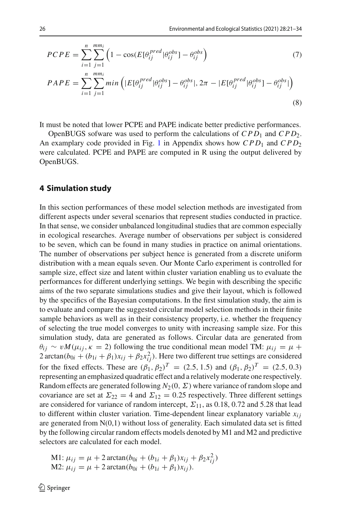$$
PCPE = \sum_{i=1}^{n} \sum_{j=1}^{mm_i} \left( 1 - \cos(E[\theta_{ij}^{pred} | \theta_{ij}^{obs}] - \theta_{ij}^{obs}) \right)
$$
(7)

$$
PAPE = \sum_{i=1}^{n} \sum_{j=1}^{mm_i} min\left(|E[\theta_{ij}^{pred}|\theta_{ij}^{obs}] - \theta_{ij}^{obs}|, 2\pi - |E[\theta_{ij}^{pred}|\theta_{ij}^{obs}] - \theta_{ij}^{obs}|\right)
$$
\n(8)

It must be noted that lower PCPE and PAPE indicate better predictive performances.

OpenBUGS sofware was used to perform the calculations of  $CPD_1$  and  $CPD_2$ . An examplary code provided in Fig. [1](#page-12-0) in Appendix shows how *CPD*<sub>1</sub> and *CPD*<sub>2</sub> were calculated. PCPE and PAPE are computed in R using the output delivered by OpenBUGS.

## <span id="page-5-0"></span>**4 Simulation study**

In this section performances of these model selection methods are investigated from different aspects under several scenarios that represent studies conducted in practice. In that sense, we consider unbalanced longitudinal studies that are common especially in ecological researches. Average number of observations per subject is considered to be seven, which can be found in many studies in practice on animal orientations. The number of observations per subject hence is generated from a discrete uniform distribution with a mean equals seven. Our Monte Carlo experiment is controlled for sample size, effect size and latent within cluster variation enabling us to evaluate the performances for different underlying settings. We begin with describing the specific aims of the two separate simulations studies and give their layout, which is followed by the specifics of the Bayesian computations. In the first simulation study, the aim is to evaluate and compare the suggested circular model selection methods in their finite sample behaviors as well as in their consistency property, i.e. whether the frequency of selecting the true model converges to unity with increasing sample size. For this simulation study, data are generated as follows. Circular data are generated from  $\theta_{ij} \sim v M(\mu_{ij}, \kappa = 2)$  following the true conditional mean model TM:  $\mu_{ij} = \mu + \mu_{ij}$  $2 \arctan(b_{0i} + (b_{1i} + \beta_1)x_{ij} + \beta_2 x_{ij}^2$ . Here two different true settings are considered for the fixed effects. These are  $(\beta_1, \beta_2)^T = (2.5, 1.5)$  and  $(\beta_1, \beta_2)^T = (2.5, 0.3)$ representing an emphasized quadratic effect and a relatively moderate one respectively. Random effects are generated following  $N_2(0, \Sigma)$  where variance of random slope and covariance are set at  $\Sigma_{22} = 4$  and  $\Sigma_{12} = 0.25$  respectively. Three different settings are considered for variance of random intercept,  $\Sigma_{11}$ , as 0.18, 0.72 and 5.28 that lead to different within cluster variation. Time-dependent linear explanatory variable  $x_{ij}$ are generated from  $N(0,1)$  without loss of generality. Each simulated data set is fitted by the following circular random effects models denoted by M1 and M2 and predictive selectors are calculated for each model.

M1: 
$$
\mu_{ij} = \mu + 2 \arctan(b_{0i} + (b_{1i} + \beta_1)x_{ij} + \beta_2 x_{ij}^2)
$$
  
M2:  $\mu_{ij} = \mu + 2 \arctan(b_{0i} + (b_{1i} + \beta_1)x_{ij})$ .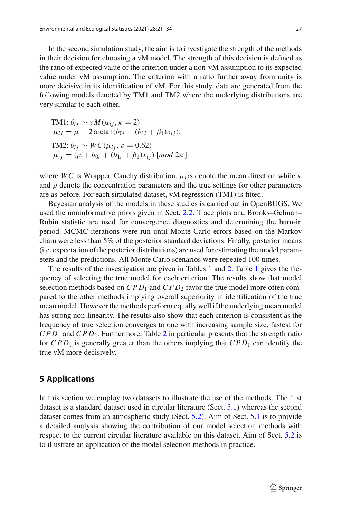In the second simulation study, the aim is to investigate the strength of the methods in their decision for choosing a vM model. The strength of this decision is defined as the ratio of expected value of the criterion under a non-vM assumption to its expected value under vM assumption. The criterion with a ratio further away from unity is more decisive in its identification of vM. For this study, data are generated from the following models denoted by TM1 and TM2 where the underlying distributions are very similar to each other.

TM1:  $\theta_{ij} \sim v M(\mu_{ij}, \kappa = 2)$  $\mu_{ij} = \mu + 2 \arctan(b_{0i} + (b_{1i} + \beta_1)x_{ii}),$ TM2:  $\theta_{ij} \sim WC(\mu_{ij}, \rho = 0.62)$  $\mu_{ij} = (\mu + b_{0i} + (b_{1i} + \beta_1)x_{ii})$  [*mod*  $2\pi$ ]

where *WC* is Wrapped Cauchy distribution,  $\mu_{ij}$  denote the mean direction while  $\kappa$ and  $\rho$  denote the concentration parameters and the true settings for other parameters are as before. For each simulated dataset, vM regression (TM1) is fitted.

Bayesian analysis of the models in these studies is carried out in OpenBUGS. We used the noninformative priors given in Sect. [2.2.](#page-3-0) Trace plots and Brooks–Gelman– Rubin statistic are used for convergence diagnostics and determining the burn-in period. MCMC iterations were run until Monte Carlo errors based on the Markov chain were less than 5% of the posterior standard deviations. Finally, posterior means (i.e. expectation of the posterior distributions) are used for estimating the model parameters and the predictions. All Monte Carlo scenarios were repeated 100 times.

The results of the investigation are given in Tables [1](#page-7-1) and [2.](#page-7-2) Table 1 gives the frequency of selecting the true model for each criterion. The results show that model selection methods based on  $CPD_1$  and  $CPD_2$  favor the true model more often compared to the other methods implying overall superiority in identification of the true mean model. However the methods perform equally well if the underlying mean model has strong non-linearity. The results also show that each criterion is consistent as the frequency of true selection converges to one with increasing sample size, fastest for *CPD*<sup>1</sup> and *CPD*2. Furthermore, Table [2](#page-7-2) in particular presents that the strength ratio for  $CPD_1$  is generally greater than the others implying that  $CPD_1$  can identify the true vM more decisively.

## <span id="page-6-0"></span>**5 Applications**

In this section we employ two datasets to illustrate the use of the methods. The first dataset is a standard dataset used in circular literature (Sect. [5.1\)](#page-7-0) whereas the second dataset comes from an atmospheric study (Sect. [5.2\)](#page-9-0). Aim of Sect. [5.1](#page-7-0) is to provide a detailed analysis showing the contribution of our model selection methods with respect to the current circular literature available on this dataset. Aim of Sect. [5.2](#page-9-0) is to illustrate an application of the model selection methods in practice.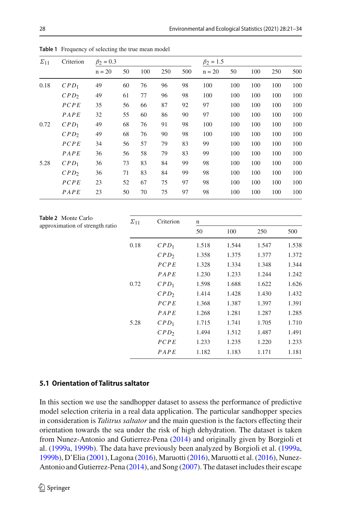| $\Sigma_{11}$ | Criterion        | $\beta_2 = 0.3$ |    |     |     | $\beta_2 = 1.5$ |          |     |     |     |     |
|---------------|------------------|-----------------|----|-----|-----|-----------------|----------|-----|-----|-----|-----|
|               |                  | $n = 20$        | 50 | 100 | 250 | 500             | $n = 20$ | 50  | 100 | 250 | 500 |
| 0.18          | $CPD_1$          | 49              | 60 | 76  | 96  | 98              | 100      | 100 | 100 | 100 | 100 |
|               | CPD <sub>2</sub> | 49              | 61 | 77  | 96  | 98              | 100      | 100 | 100 | 100 | 100 |
|               | PCPE             | 35              | 56 | 66  | 87  | 92              | 97       | 100 | 100 | 100 | 100 |
|               | $P_{A}PE$        | 32              | 55 | 60  | 86  | 90              | 97       | 100 | 100 | 100 | 100 |
| 0.72          | $CPD_1$          | 49              | 68 | 76  | 91  | 98              | 100      | 100 | 100 | 100 | 100 |
|               | CPD <sub>2</sub> | 49              | 68 | 76  | 90  | 98              | 100      | 100 | 100 | 100 | 100 |
|               | PCPE             | 34              | 56 | 57  | 79  | 83              | 99       | 100 | 100 | 100 | 100 |
|               | $P_{A}PE$        | 36              | 56 | 58  | 79  | 83              | 99       | 100 | 100 | 100 | 100 |
| 5.28          | $CPD_1$          | 36              | 73 | 83  | 84  | 99              | 98       | 100 | 100 | 100 | 100 |
|               | CPD <sub>2</sub> | 36              | 71 | 83  | 84  | 99              | 98       | 100 | 100 | 100 | 100 |
|               | PCPE             | 23              | 52 | 67  | 75  | 97              | 98       | 100 | 100 | 100 | 100 |
|               | $P_{A}PE$        | 23              | 50 | 70  | 75  | 97              | 98       | 100 | 100 | 100 | 100 |

<span id="page-7-1"></span>**Table 1** Frequency of selecting the true mean model

<span id="page-7-2"></span>

| <b>Table 2</b> Monte Carlo      | $\Sigma_{11}$ | Criterion        | n     |       |       |       |  |
|---------------------------------|---------------|------------------|-------|-------|-------|-------|--|
| approximation of strength ratio |               |                  | 50    | 100   | 250   | 500   |  |
|                                 | 0.18          | $CPD_1$          | 1.518 | 1.544 | 1.547 | 1.538 |  |
|                                 |               | CPD <sub>2</sub> | 1.358 | 1.375 | 1.377 | 1.372 |  |
|                                 |               | PCPE             | 1.328 | 1.334 | 1.348 | 1.344 |  |
|                                 |               | $P_{A}PE$        | 1.230 | 1.233 | 1.244 | 1.242 |  |
|                                 | 0.72          | $CPD_1$          | 1.598 | 1.688 | 1.622 | 1.626 |  |
|                                 |               | CPD <sub>2</sub> | 1.414 | 1.428 | 1.430 | 1.432 |  |
|                                 |               | PCPE             | 1.368 | 1.387 | 1.397 | 1.391 |  |
|                                 |               | $P_{A}PE$        | 1.268 | 1.281 | 1.287 | 1.285 |  |
|                                 | 5.28          | $CPD_1$          | 1.715 | 1.741 | 1.705 | 1.710 |  |
|                                 |               | CPD <sub>2</sub> | 1.494 | 1.512 | 1.487 | 1.491 |  |
|                                 |               | PCPE             | 1.233 | 1.235 | 1.220 | 1.233 |  |
|                                 |               | $P_{A}PE$        | 1.182 | 1.183 | 1.171 | 1.181 |  |

## <span id="page-7-0"></span>**5.1 Orientation of Talitrus saltator**

In this section we use the sandhopper dataset to assess the performance of predictive model selection criteria in a real data application. The particular sandhopper species in consideration is *Talitrus saltator* and the main question is the factors effecting their orientation towards the sea under the risk of high dehydration. The dataset is taken from Nunez-Antonio and Gutierrez-Pen[a](#page-13-5) [\(2014\)](#page-13-5) and originally given by Borgioli et al. [\(1999a](#page-13-10), [1999b](#page-13-11)). The data have previously been analyzed by Borgioli et al. [\(1999a,](#page-13-10) [1999b\)](#page-13-11), D'Eli[a](#page-13-0) [\(2001\)](#page-13-0), Lagon[a](#page-13-12) [\(2016\)](#page-13-12), Maruott[i](#page-13-2) [\(2016\)](#page-13-2), Maruotti et al[.](#page-13-3) [\(2016](#page-13-3)), Nunez-Antonio and Gutierrez-Pen[a](#page-13-5) [\(2014\)](#page-13-5), and Son[g](#page-13-13) [\(2007\)](#page-13-13). The dataset includes their escape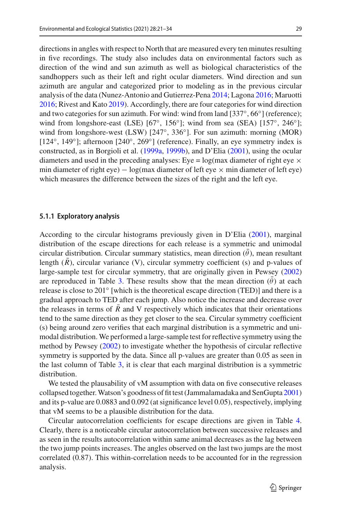directions in angles with respect to North that are measured every ten minutes resulting in five recordings. The study also includes data on environmental factors such as direction of the wind and sun azimuth as well as biological characteristics of the sandhoppers such as their left and right ocular diameters. Wind direction and sun azimuth are angular and categorized prior to modeling as in the previous circular analysis of the data (Nunez-Antonio and Gutierrez-Pen[a](#page-13-5) [2014](#page-13-5); Lagon[a](#page-13-12) [2016;](#page-13-12) Maruott[i](#page-13-2) [2016;](#page-13-2) Rivest and Kat[o](#page-13-14) [2019\)](#page-13-14). Accordingly, there are four categories for wind direction and two categories for sun azimuth. For wind: wind from land [337◦, 66◦] (reference); wind from longshore-east (LSE) [67◦, 156◦]; wind from sea (SEA) [157◦, 246◦]; wind from longshore-west (LSW) [247°, 336°]. For sun azimuth: morning (MOR) [124◦, 149◦]; afternoon [240◦, 269◦] (reference). Finally, an eye symmetry index is constructed, as in Borgioli et al. [\(1999a](#page-13-10), [1999b](#page-13-11)), and D'Eli[a](#page-13-0) [\(2001\)](#page-13-0), using the ocular diameters and used in the preceding analyses: Eye =  $log(max$  diameter of right eye  $\times$ min diameter of right eye)  $- \log(\text{max diameter of left eye} \times \text{min diameter of left eye})$ which measures the difference between the sizes of the right and the left eye.

#### **5.1.1 Exploratory analysis**

According to the circular histograms previously given in D'Eli[a](#page-13-0) [\(2001](#page-13-0)), marginal distribution of the escape directions for each release is a symmetric and unimodal circular distribution. Circular summary statistics, mean direction  $(\bar{\theta})$ , mean resultant length  $(\overline{R})$ , circular variance (V), circular symmetry coefficient (s) and p-values of large-sample test for circular symmetry, that are originally given in Pewse[y](#page-13-15) [\(2002\)](#page-13-15) are reproduced in Table [3.](#page-9-1) These results show that the mean direction  $(\bar{\theta})$  at each release is close to 201 $\degree$  [which is the theoretical escape direction (TED)] and there is a gradual approach to TED after each jump. Also notice the increase and decrease over the releases in terms of  $R$  and  $V$  respectively which indicates that their orientations tend to the same direction as they get closer to the sea. Circular symmetry coefficient (s) being around zero verifies that each marginal distribution is a symmetric and unimodal distribution. We performed a large-sample test for reflective symmetry using the method by Pewse[y](#page-13-15) [\(2002\)](#page-13-15) to investigate whether the hypothesis of circular reflective symmetry is supported by the data. Since all p-values are greater than 0.05 as seen in the last column of Table [3,](#page-9-1) it is clear that each marginal distribution is a symmetric distribution.

We tested the plausability of vM assumption with data on five consecutive releases collapsed together.Watson's goodness of fit test (Jammalamadaka and SenGupt[a](#page-13-8) [2001\)](#page-13-8) and its p-value are 0.0883 and 0.092 (at significance level 0.05), respectively, implying that vM seems to be a plausible distribution for the data.

Circular autocorrelation coefficients for escape directions are given in Table [4.](#page-9-2) Clearly, there is a noticeable circular autocorrelation between successive releases and as seen in the results autocorrelation within same animal decreases as the lag between the two jump points increases. The angles observed on the last two jumps are the most correlated (0.87). This within-correlation needs to be accounted for in the regression analysis.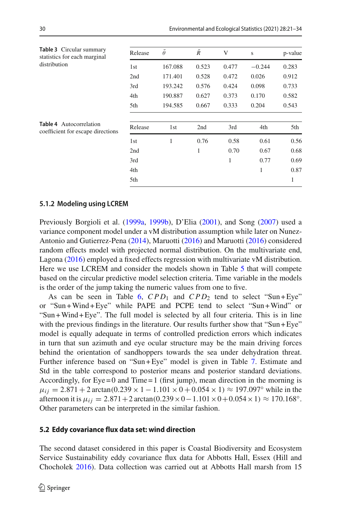<span id="page-9-2"></span><span id="page-9-1"></span>

| Table 3 Circular summary<br>statistics for each marginal            | Release | $\bar{\theta}$ | $\bar{R}$ | V     | S        | p-value |
|---------------------------------------------------------------------|---------|----------------|-----------|-------|----------|---------|
| distribution                                                        | 1st     | 167.088        | 0.523     | 0.477 | $-0.244$ | 0.283   |
|                                                                     | 2nd     | 171.401        | 0.528     | 0.472 | 0.026    | 0.912   |
|                                                                     | 3rd     | 193.242        | 0.576     | 0.424 | 0.098    | 0.733   |
|                                                                     | 4th     | 190.887        | 0.627     | 0.373 | 0.170    | 0.582   |
|                                                                     | 5th     | 194.585        | 0.667     | 0.333 | 0.204    | 0.543   |
| <b>Table 4</b> Autocorrelation<br>coefficient for escape directions | Release | 1st            | 2nd       | 3rd   | 4th      | 5th     |
|                                                                     | 1st     | 1              | 0.76      | 0.58  | 0.61     | 0.56    |
|                                                                     | 2nd     |                | 1         | 0.70  | 0.67     | 0.68    |
|                                                                     | 3rd     |                |           | 1     | 0.77     | 0.69    |
|                                                                     | 4th     |                |           |       | 1        | 0.87    |
|                                                                     | 5th     |                |           |       |          | 1       |

### **5.1.2 Modeling using LCREM**

Previously Borgioli et al. [\(1999a](#page-13-10), [1999b\)](#page-13-11), D'Eli[a](#page-13-0) [\(2001\)](#page-13-0), and Son[g](#page-13-13) [\(2007\)](#page-13-13) used a variance component model under a vM distribution assumption while later on Nunez-Antonio and Gutierrez-Pen[a](#page-13-5) [\(2014](#page-13-5)), Maruott[i](#page-13-2) [\(2016\)](#page-13-2) and Maruott[i](#page-13-2) [\(2016](#page-13-2)) considered random effects model with projected normal distribution. On the multivariate end, Lagon[a](#page-13-12) [\(2016](#page-13-12)) employed a fixed effects regression with multivariate vM distribution. Here we use LCREM and consider the models shown in Table [5](#page-10-0) that will compete based on the circular predictive model selection criteria. Time variable in the models is the order of the jump taking the numeric values from one to five.

As can be seen in Table [6,](#page-10-1)  $CPD_1$  and  $CPD_2$  tend to select "Sun+Eye" or "Sun +Wind + Eye" while PAPE and PCPE tend to select "Sun +Wind" or "Sun +Wind + Eye". The full model is selected by all four criteria. This is in line with the previous findings in the literature. Our results further show that "Sun + Eye" model is equally adequate in terms of controlled prediction errors which indicates in turn that sun azimuth and eye ocular structure may be the main driving forces behind the orientation of sandhoppers towards the sea under dehydration threat. Further inference based on "Sun+Eye" model is given in Table [7.](#page-10-2) Estimate and Std in the table correspond to posterior means and posterior standard deviations. Accordingly, for  $Eye = 0$  and Time  $= 1$  (first jump), mean direction in the morning is  $\mu_{ij} = 2.871 + 2 \arctan(0.239 \times 1 - 1.101 \times 0 + 0.054 \times 1) \approx 197.097$ ° while in the afternoon it is  $\mu_{ij} = 2.871 + 2 \arctan(0.239 \times 0 - 1.101 \times 0 + 0.054 \times 1) \approx 170.168$ °. Other parameters can be interpreted in the similar fashion.

#### <span id="page-9-0"></span>**5.2 Eddy covariance flux data set: wind direction**

The second dataset considered in this paper is Coastal Biodiversity and Ecosystem Service Sustainability eddy covariance flux data for Abbotts Hall, Essex (Hill and Chochole[k](#page-13-16) [2016\)](#page-13-16). Data collection was carried out at Abbotts Hall marsh from 15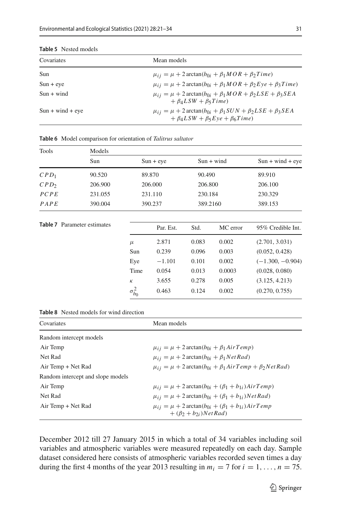| Covariates                 | Mean models                                                                                                                                        |
|----------------------------|----------------------------------------------------------------------------------------------------------------------------------------------------|
| Sun                        | $\mu_{ii} = \mu + 2 \arctan(b_{0i} + \beta_1 MOR + \beta_2 Time)$                                                                                  |
| $Sun + eye$                | $\mu_{ij} = \mu + 2 \arctan(b_{0i} + \beta_1 MOR + \beta_2 Eye + \beta_3 Time)$                                                                    |
| $\text{Sun} + \text{wind}$ | $\mu_{ij} = \mu + 2 \arctan(b_{0i} + \beta_1 MOR + \beta_2 LSE + \beta_3 SEA$<br>$+ \beta_4 LSW + \beta_5 Time$                                    |
| $Sun + wind + eye$         | $\mu_{ij} = \mu + 2 \arctan(b_{0i} + \beta_1 \text{SUN} + \beta_2 \text{LSE} + \beta_3 \text{SEA}$<br>$+ \beta_4 LSW + \beta_5 Eve + \beta_6 Time$ |

#### <span id="page-10-0"></span>**Table 5** Nested models

| <b>Tools</b>                       | Models  |             |              |            |                    |  |  |  |  |  |
|------------------------------------|---------|-------------|--------------|------------|--------------------|--|--|--|--|--|
|                                    | Sun     | $Sun + eye$ | $Sun + wind$ |            | $Sun + wind + eye$ |  |  |  |  |  |
| $CPD_1$                            | 90.520  | 89.870      | 90.490       |            | 89.910             |  |  |  |  |  |
| CPD <sub>2</sub>                   | 206.900 | 206.000     | 206.800      |            | 206.100            |  |  |  |  |  |
| PCPE                               | 231.055 | 231.110     | 230.184      |            | 230.329            |  |  |  |  |  |
| $P_{\text{A}} P_{\text{B}}$        | 390.004 | 390.237     | 389.2160     |            | 389.153            |  |  |  |  |  |
|                                    |         |             |              |            |                    |  |  |  |  |  |
| <b>Table 7</b> Parameter estimates |         | Par Est     | Std          | $MC$ error | 95% Credible Int   |  |  |  |  |  |

<span id="page-10-1"></span>**Table 6** Model comparison for orientation of *Talitrus saltator*

<span id="page-10-2"></span>

| <b>Table 7</b> Parameter estimates |                  | Par. Est. | Std.  | MC error | 95% Credible Int.  |
|------------------------------------|------------------|-----------|-------|----------|--------------------|
|                                    | $\mu$            | 2.871     | 0.083 | 0.002    | (2.701, 3.031)     |
|                                    | Sun              | 0.239     | 0.096 | 0.003    | (0.052, 0.428)     |
|                                    | Eye              | $-1.101$  | 0.101 | 0.002    | $(-1.300, -0.904)$ |
|                                    | Time             | 0.054     | 0.013 | 0.0003   | (0.028, 0.080)     |
|                                    | К                | 3.655     | 0.278 | 0.005    | (3.125, 4.213)     |
|                                    | $\sigma_{b_0}^2$ | 0.463     | 0.124 | 0.002    | (0.270, 0.755)     |

<span id="page-10-3"></span>**Table 8** Nested models for wind direction

| Covariates                        | Mean models                                                                                          |
|-----------------------------------|------------------------------------------------------------------------------------------------------|
| Random intercept models           |                                                                                                      |
| Air Temp                          | $\mu_{ii} = \mu + 2 \arctan(b_{0i} + \beta_1 AirTemp)$                                               |
| Net Rad                           | $\mu_{ii} = \mu + 2 \arctan(b_{0i} + \beta_1 NetRad)$                                                |
| Air Temp + Net Rad                | $\mu_{ii} = \mu + 2 \arctan(b_{0i} + \beta_1 AirTemp + \beta_2 NetRad)$                              |
| Random intercept and slope models |                                                                                                      |
| Air Temp                          | $\mu_{ii} = \mu + 2 \arctan(b_{0i} + (\beta_1 + b_{1i}) AirTemp)$                                    |
| Net Rad                           | $\mu_{ii} = \mu + 2 \arctan(b_{0i} + (\beta_1 + b_{1i}) \text{Net Rad})$                             |
| Air Temp + Net Rad                | $\mu_{ii} = \mu + 2 \arctan(b_{0i} + (\beta_1 + b_{1i}) AirTemp)$<br>$+$ $(\beta_2 + b_2)$ ) Net Rad |

December 2012 till 27 January 2015 in which a total of 34 variables including soil variables and atmospheric variables were measured repeatedly on each day. Sample dataset considered here consists of atmospheric variables recorded seven times a day during the first 4 months of the year 2013 resulting in  $m_i = 7$  for  $i = 1, \ldots, n = 75$ .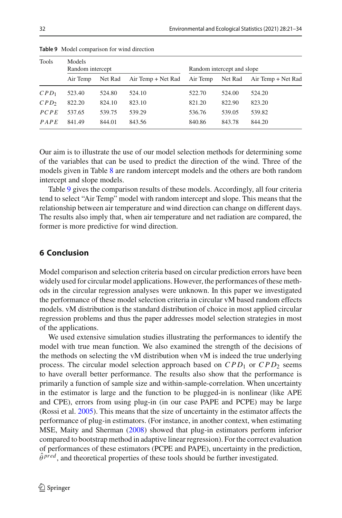| <b>Tools</b>     | Models<br>Random intercept |         |                    | Random intercept and slope |         |                    |  |
|------------------|----------------------------|---------|--------------------|----------------------------|---------|--------------------|--|
|                  | Air Temp                   | Net Rad | Air Temp + Net Rad | Air Temp                   | Net Rad | Air Temp + Net Rad |  |
| $CPD_1$          | 523.40                     | 524.80  | 524.10             | 522.70                     | 524.00  | 524.20             |  |
| CPD <sub>2</sub> | 822.20                     | 824.10  | 823.10             | 821.20                     | 822.90  | 823.20             |  |
| PCPE             | 537.65                     | 539.75  | 539.29             | 536.76                     | 539.05  | 539.82             |  |
| $P_{A}PE$        | 841.49                     | 844.01  | 843.56             | 840.86                     | 843.78  | 844.20             |  |

<span id="page-11-1"></span>**Table 9** Model comparison for wind direction

Our aim is to illustrate the use of our model selection methods for determining some of the variables that can be used to predict the direction of the wind. Three of the models given in Table [8](#page-10-3) are random intercept models and the others are both random intercept and slope models.

Table [9](#page-11-1) gives the comparison results of these models. Accordingly, all four criteria tend to select "Air Temp" model with random intercept and slope. This means that the relationship between air temperature and wind direction can change on different days. The results also imply that, when air temperature and net radiation are compared, the former is more predictive for wind direction.

# <span id="page-11-0"></span>**6 Conclusion**

Model comparison and selection criteria based on circular prediction errors have been widely used for circular model applications. However, the performances of these methods in the circular regression analyses were unknown. In this paper we investigated the performance of these model selection criteria in circular vM based random effects models. vM distribution is the standard distribution of choice in most applied circular regression problems and thus the paper addresses model selection strategies in most of the applications.

We used extensive simulation studies illustrating the performances to identify the model with true mean function. We also examined the strength of the decisions of the methods on selecting the vM distribution when vM is indeed the true underlying process. The circular model selection approach based on *CPD*<sub>1</sub> or *CPD*<sub>2</sub> seems to have overall better performance. The results also show that the performance is primarily a function of sample size and within-sample-correlation. When uncertainty in the estimator is large and the function to be plugged-in is nonlinear (like APE and CPE), errors from using plug-in (in our case PAPE and PCPE) may be large (Rossi et al[.](#page-13-17) [2005\)](#page-13-17). This means that the size of uncertainty in the estimator affects the performance of plug-in estimators. (For instance, in another context, when estimating MSE, Maity and Sherman [\(2008](#page-13-18)) showed that plug-in estimators perform inferior compared to bootstrap method in adaptive linear regression). For the correct evaluation of performances of these estimators (PCPE and PAPE), uncertainty in the prediction,  $\hat{\theta}^{pred}$ , and theoretical properties of these tools should be further investigated.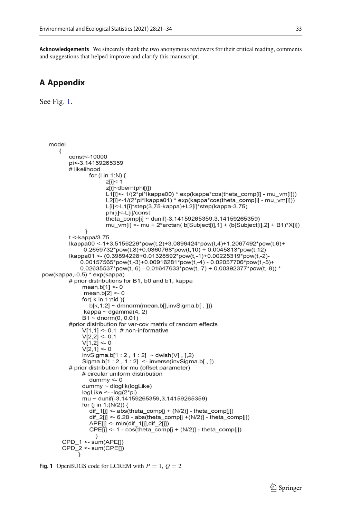**Acknowledgements** We sincerely thank the two anonymous reviewers for their critical reading, comments and suggestions that helped improve and clarify this manuscript.

# **A Appendix**

See Fig. [1.](#page-12-0)

```
model
\{const<-10000
   pi<-3 14159265359
   # likelihood
           for (i in 1:N) {
                 z[i] <-1
                 z[<i>i</i>]<sub>~</sub>dbern(phi\overline{ii})
                 L1[i]<- 1/(2*pi*lkappa00) * exp(kappa*cos(theta comp[i] - mu vm[i]))
                 L2[i]<-1/(2*pi*lkappa01) * exp(kappa*cos(theta_comp[i] - mu_vm[i]))
                 L[i]<-L1[i]*step(3.75-kappa)+L2[i]*step(kappa-3.75)
                 philil <- Llil/const
                 theta_comp[i] ~ dunif(-3.14159265359,3.14159265359)
                 mu_vm[i] <- mu + 2*arctan( b[Subject[i], 1] + (b[Subject[i], 2] + B1)*X[i])
          \mathcal{E}t <-kappa/3.75
    Ikappa00 <-1+3.5156229*pow(t,2)+3.0899424*pow(t,4)+1.2067492*pow(t,6)+
         0.2659732*pow(t,8)+0.0360768*pow(t,10) + 0.0045813*pow(t,12)Ikappa01 <- (0.39894228+0.01328592*pow(t,-1)+0.00225319*pow(t,-2)-
        0.00157565*pow(t.-3)+0.00916281*pow(t.-4) - 0.02057706*pow(t,-5)+0.02635537*pow(t,-6) - 0.01647633*pow(t,-7) + 0.00392377*pow(t,-8)) *pow(kappa,-0.5) * exp(kappa)
   # prior distributions for B1, b0 and b1, kappa
        mean.b[1] < 0mean.b[2] < 0for(k in 1:nid )b[k.1:2] ~ dmnorm(mean.bl[.invSigma.bl].]}
         kappa ~ dgamma(4, 2)B1 \sim dnorm(0, 0.01)
   #prior distribution for var-cov matrix of random effects
        V[1,1] \leq 0.1 # non-informative
         V[2,2] <- 0.1
        V[1,2] <- 0
         V[2,1] < 0invSigma.b[1:2, 1:2] ~\sim dwish(V[, ],2)
         Sigma.b[1 : 2, 1 : 2] <- inverse(invSigma.b[, ])
   # prior distribution for mu (offset parameter)
        # circular uniform distribution
           dummy < -0dummy ~ dloglik(logLike)
        logLike < -log(2<sup>*</sup>pi)mu ~ dunif(-3.14159265359,3.14159265359)
        for (j in 1:(N/2)) {
           dif_1[j] <- abs(theta_comp[j + (N/2)] - theta_comp[j])
           dif _2[j] <- 6.28 - abs(theta_comp[j +(N/2)] - theta_comp[j])
           APE[j] <- min(dif_1[j],dif_2[j])
           CPE[j] <- 1 - cos(theta_comp[j + (N/2)] - theta_comp[j])
             - }
 CPD_1 <- sum(APE[])
 CPD_2^-2 \leq sum(CPE))
```

```
Fig. 1 OpenBUGS code for LCREM with P = 1, Q = 2
```